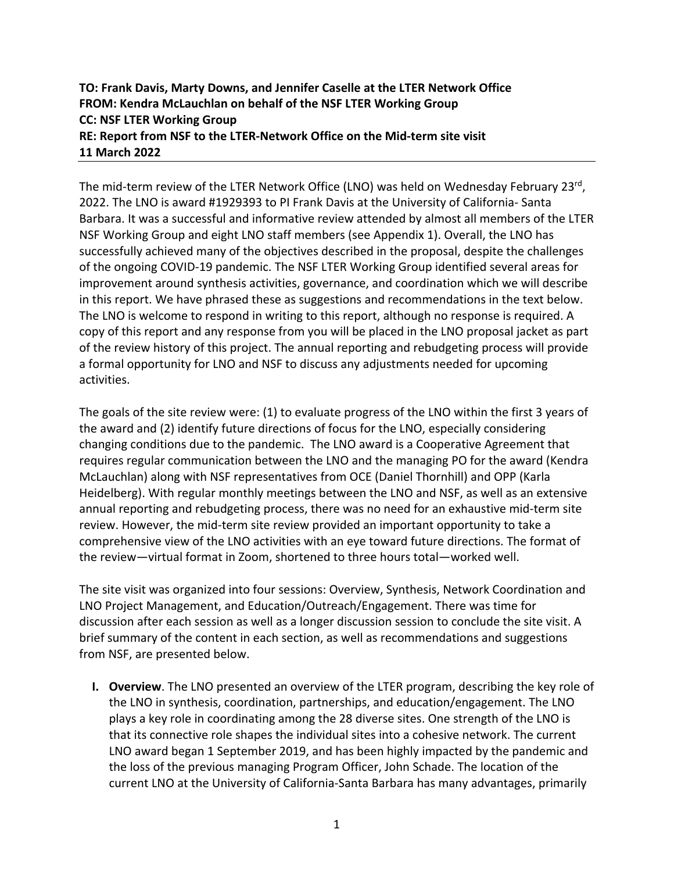# **TO: Frank Davis, Marty Downs, and Jennifer Caselle at the LTER Network Office FROM: Kendra McLauchlan on behalf of the NSF LTER Working Group CC: NSF LTER Working Group RE: Report from NSF to the LTER-Network Office on the Mid-term site visit 11 March 2022**

The mid-term review of the LTER Network Office (LNO) was held on Wednesday February 23 $^{\text{rd}}$ , 2022. The LNO is award #1929393 to PI Frank Davis at the University of California- Santa Barbara. It was a successful and informative review attended by almost all members of the LTER NSF Working Group and eight LNO staff members (see Appendix 1). Overall, the LNO has successfully achieved many of the objectives described in the proposal, despite the challenges of the ongoing COVID-19 pandemic. The NSF LTER Working Group identified several areas for improvement around synthesis activities, governance, and coordination which we will describe in this report. We have phrased these as suggestions and recommendations in the text below. The LNO is welcome to respond in writing to this report, although no response is required. A copy of this report and any response from you will be placed in the LNO proposal jacket as part of the review history of this project. The annual reporting and rebudgeting process will provide a formal opportunity for LNO and NSF to discuss any adjustments needed for upcoming activities.

The goals of the site review were: (1) to evaluate progress of the LNO within the first 3 years of the award and (2) identify future directions of focus for the LNO, especially considering changing conditions due to the pandemic. The LNO award is a Cooperative Agreement that requires regular communication between the LNO and the managing PO for the award (Kendra McLauchlan) along with NSF representatives from OCE (Daniel Thornhill) and OPP (Karla Heidelberg). With regular monthly meetings between the LNO and NSF, as well as an extensive annual reporting and rebudgeting process, there was no need for an exhaustive mid-term site review. However, the mid-term site review provided an important opportunity to take a comprehensive view of the LNO activities with an eye toward future directions. The format of the review—virtual format in Zoom, shortened to three hours total—worked well.

The site visit was organized into four sessions: Overview, Synthesis, Network Coordination and LNO Project Management, and Education/Outreach/Engagement. There was time for discussion after each session as well as a longer discussion session to conclude the site visit. A brief summary of the content in each section, as well as recommendations and suggestions from NSF, are presented below.

**I. Overview**. The LNO presented an overview of the LTER program, describing the key role of the LNO in synthesis, coordination, partnerships, and education/engagement. The LNO plays a key role in coordinating among the 28 diverse sites. One strength of the LNO is that its connective role shapes the individual sites into a cohesive network. The current LNO award began 1 September 2019, and has been highly impacted by the pandemic and the loss of the previous managing Program Officer, John Schade. The location of the current LNO at the University of California-Santa Barbara has many advantages, primarily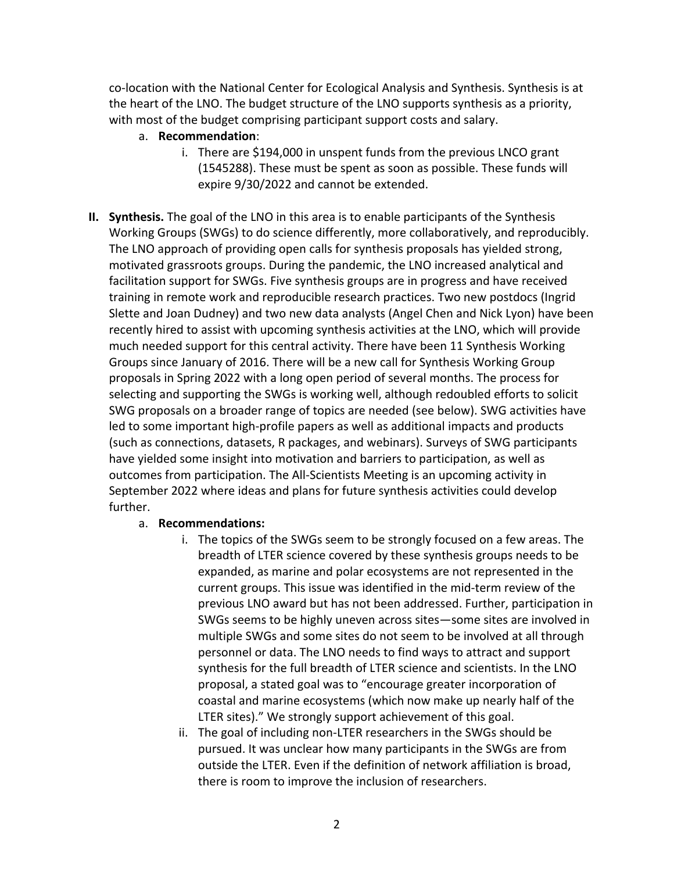co-location with the National Center for Ecological Analysis and Synthesis. Synthesis is at the heart of the LNO. The budget structure of the LNO supports synthesis as a priority, with most of the budget comprising participant support costs and salary.

- a. **Recommendation**:
	- i. There are \$194,000 in unspent funds from the previous LNCO grant (1545288). These must be spent as soon as possible. These funds will expire 9/30/2022 and cannot be extended.
- **II. Synthesis.** The goal of the LNO in this area is to enable participants of the Synthesis Working Groups (SWGs) to do science differently, more collaboratively, and reproducibly. The LNO approach of providing open calls for synthesis proposals has yielded strong, motivated grassroots groups. During the pandemic, the LNO increased analytical and facilitation support for SWGs. Five synthesis groups are in progress and have received training in remote work and reproducible research practices. Two new postdocs (Ingrid Slette and Joan Dudney) and two new data analysts (Angel Chen and Nick Lyon) have been recently hired to assist with upcoming synthesis activities at the LNO, which will provide much needed support for this central activity. There have been 11 Synthesis Working Groups since January of 2016. There will be a new call for Synthesis Working Group proposals in Spring 2022 with a long open period of several months. The process for selecting and supporting the SWGs is working well, although redoubled efforts to solicit SWG proposals on a broader range of topics are needed (see below). SWG activities have led to some important high-profile papers as well as additional impacts and products (such as connections, datasets, R packages, and webinars). Surveys of SWG participants have yielded some insight into motivation and barriers to participation, as well as outcomes from participation. The All-Scientists Meeting is an upcoming activity in September 2022 where ideas and plans for future synthesis activities could develop further.

### a. **Recommendations:**

- i. The topics of the SWGs seem to be strongly focused on a few areas. The breadth of LTER science covered by these synthesis groups needs to be expanded, as marine and polar ecosystems are not represented in the current groups. This issue was identified in the mid-term review of the previous LNO award but has not been addressed. Further, participation in SWGs seems to be highly uneven across sites—some sites are involved in multiple SWGs and some sites do not seem to be involved at all through personnel or data. The LNO needs to find ways to attract and support synthesis for the full breadth of LTER science and scientists. In the LNO proposal, a stated goal was to "encourage greater incorporation of coastal and marine ecosystems (which now make up nearly half of the LTER sites)." We strongly support achievement of this goal.
- ii. The goal of including non-LTER researchers in the SWGs should be pursued. It was unclear how many participants in the SWGs are from outside the LTER. Even if the definition of network affiliation is broad, there is room to improve the inclusion of researchers.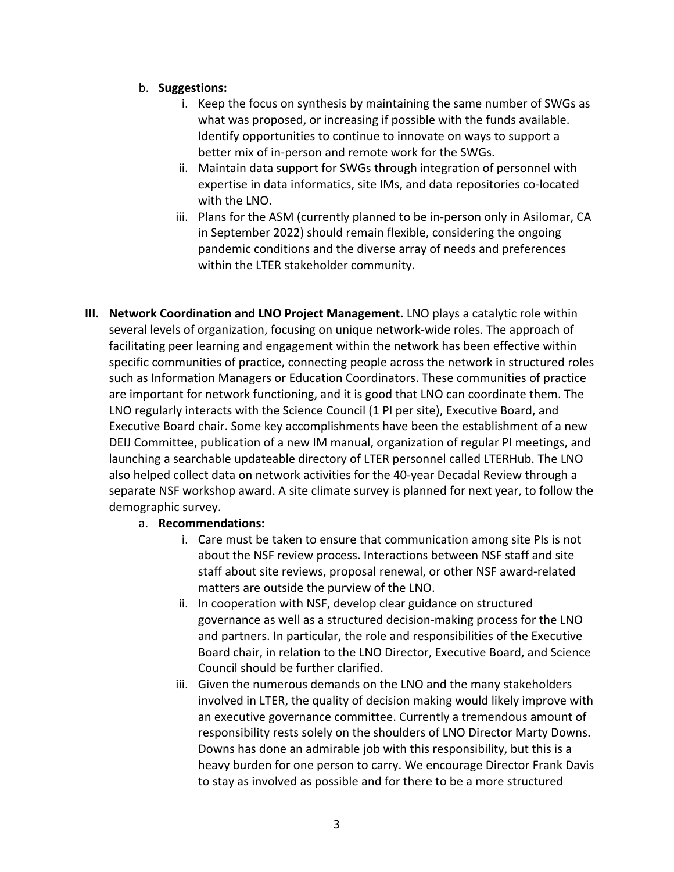### b. **Suggestions:**

- i. Keep the focus on synthesis by maintaining the same number of SWGs as what was proposed, or increasing if possible with the funds available. Identify opportunities to continue to innovate on ways to support a better mix of in-person and remote work for the SWGs.
- ii. Maintain data support for SWGs through integration of personnel with expertise in data informatics, site IMs, and data repositories co-located with the LNO.
- iii. Plans for the ASM (currently planned to be in-person only in Asilomar, CA in September 2022) should remain flexible, considering the ongoing pandemic conditions and the diverse array of needs and preferences within the LTER stakeholder community.
- **III. Network Coordination and LNO Project Management.** LNO plays a catalytic role within several levels of organization, focusing on unique network-wide roles. The approach of facilitating peer learning and engagement within the network has been effective within specific communities of practice, connecting people across the network in structured roles such as Information Managers or Education Coordinators. These communities of practice are important for network functioning, and it is good that LNO can coordinate them. The LNO regularly interacts with the Science Council (1 PI per site), Executive Board, and Executive Board chair. Some key accomplishments have been the establishment of a new DEIJ Committee, publication of a new IM manual, organization of regular PI meetings, and launching a searchable updateable directory of LTER personnel called LTERHub. The LNO also helped collect data on network activities for the 40-year Decadal Review through a separate NSF workshop award. A site climate survey is planned for next year, to follow the demographic survey.

### a. **Recommendations:**

- i. Care must be taken to ensure that communication among site PIs is not about the NSF review process. Interactions between NSF staff and site staff about site reviews, proposal renewal, or other NSF award-related matters are outside the purview of the LNO.
- ii. In cooperation with NSF, develop clear guidance on structured governance as well as a structured decision-making process for the LNO and partners. In particular, the role and responsibilities of the Executive Board chair, in relation to the LNO Director, Executive Board, and Science Council should be further clarified.
- iii. Given the numerous demands on the LNO and the many stakeholders involved in LTER, the quality of decision making would likely improve with an executive governance committee. Currently a tremendous amount of responsibility rests solely on the shoulders of LNO Director Marty Downs. Downs has done an admirable job with this responsibility, but this is a heavy burden for one person to carry. We encourage Director Frank Davis to stay as involved as possible and for there to be a more structured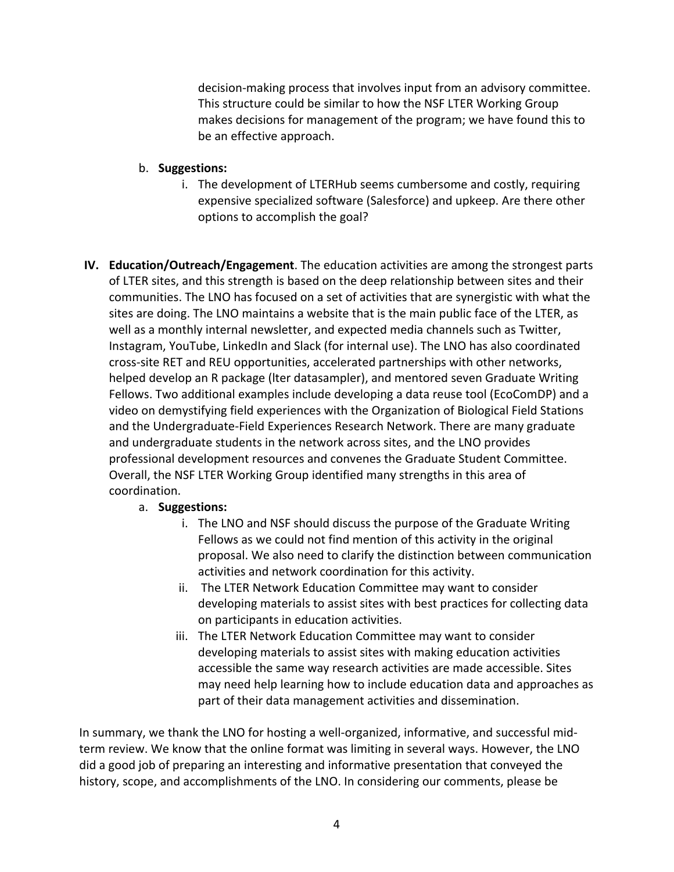decision-making process that involves input from an advisory committee. This structure could be similar to how the NSF LTER Working Group makes decisions for management of the program; we have found this to be an effective approach.

### b. **Suggestions:**

- i. The development of LTERHub seems cumbersome and costly, requiring expensive specialized software (Salesforce) and upkeep. Are there other options to accomplish the goal?
- **IV. Education/Outreach/Engagement**. The education activities are among the strongest parts of LTER sites, and this strength is based on the deep relationship between sites and their communities. The LNO has focused on a set of activities that are synergistic with what the sites are doing. The LNO maintains a website that is the main public face of the LTER, as well as a monthly internal newsletter, and expected media channels such as Twitter, Instagram, YouTube, LinkedIn and Slack (for internal use). The LNO has also coordinated cross-site RET and REU opportunities, accelerated partnerships with other networks, helped develop an R package (lter datasampler), and mentored seven Graduate Writing Fellows. Two additional examples include developing a data reuse tool (EcoComDP) and a video on demystifying field experiences with the Organization of Biological Field Stations and the Undergraduate-Field Experiences Research Network. There are many graduate and undergraduate students in the network across sites, and the LNO provides professional development resources and convenes the Graduate Student Committee. Overall, the NSF LTER Working Group identified many strengths in this area of coordination.

# a. **Suggestions:**

- i. The LNO and NSF should discuss the purpose of the Graduate Writing Fellows as we could not find mention of this activity in the original proposal. We also need to clarify the distinction between communication activities and network coordination for this activity.
- ii. The LTER Network Education Committee may want to consider developing materials to assist sites with best practices for collecting data on participants in education activities.
- iii. The LTER Network Education Committee may want to consider developing materials to assist sites with making education activities accessible the same way research activities are made accessible. Sites may need help learning how to include education data and approaches as part of their data management activities and dissemination.

In summary, we thank the LNO for hosting a well-organized, informative, and successful midterm review. We know that the online format was limiting in several ways. However, the LNO did a good job of preparing an interesting and informative presentation that conveyed the history, scope, and accomplishments of the LNO. In considering our comments, please be